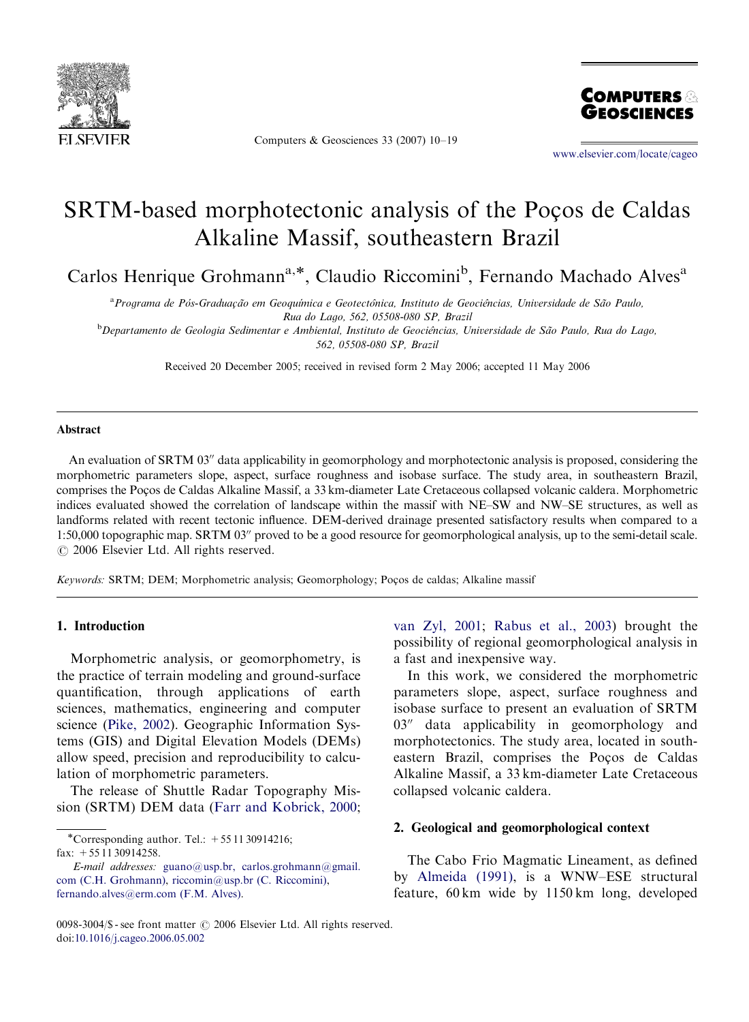

Computers & Geosciences 33 (2007) 10–19



<www.elsevier.com/locate/cageo>

# SRTM-based morphotectonic analysis of the Pocos de Caldas Alkaline Massif, southeastern Brazil

Carlos Henrique Grohmann<sup>a,\*</sup>, Claudio Riccomini<sup>b</sup>, Fernando Machado Alves<sup>a</sup>

<sup>a</sup> Programa de Pós-Graduação em Geoquímica e Geotectônica, Instituto de Geociências, Universidade de São Paulo, Rua do Lago, 562, 05508-080 SP, Brazil

**b** Departamento de Geologia Sedimentar e Ambiental, Instituto de Geociências, Universidade de São Paulo, Rua do Lago, 562, 05508-080 SP, Brazil

Received 20 December 2005; received in revised form 2 May 2006; accepted 11 May 2006

#### Abstract

An evaluation of SRTM 03" data applicability in geomorphology and morphotectonic analysis is proposed, considering the morphometric parameters slope, aspect, surface roughness and isobase surface. The study area, in southeastern Brazil, comprises the Pocos de Caldas Alkaline Massif, a 33 km-diameter Late Cretaceous collapsed volcanic caldera. Morphometric indices evaluated showed the correlation of landscape within the massif with NE–SW and NW–SE structures, as well as landforms related with recent tectonic influence. DEM-derived drainage presented satisfactory results when compared to a 1:50,000 topographic map. SRTM 03" proved to be a good resource for geomorphological analysis, up to the semi-detail scale.  $O$  2006 Elsevier Ltd. All rights reserved.

Keywords: SRTM; DEM; Morphometric analysis; Geomorphology; Poços de caldas; Alkaline massif

#### 1. Introduction

Morphometric analysis, or geomorphometry, is the practice of terrain modeling and ground-surface quantification, through applications of earth sciences, mathematics, engineering and computer science [\(Pike, 2002\)](#page-9-0). Geographic Information Systems (GIS) and Digital Elevation Models (DEMs) allow speed, precision and reproducibility to calculation of morphometric parameters.

The release of Shuttle Radar Topography Mission (SRTM) DEM data ([Farr and Kobrick, 2000;](#page-8-0) [van Zyl, 2001](#page-9-0); [Rabus et al., 2003\)](#page-9-0) brought the possibility of regional geomorphological analysis in a fast and inexpensive way.

In this work, we considered the morphometric parameters slope, aspect, surface roughness and isobase surface to present an evaluation of SRTM  $03''$  data applicability in geomorphology and morphotectonics. The study area, located in southeastern Brazil, comprises the Poços de Caldas Alkaline Massif, a 33 km-diameter Late Cretaceous collapsed volcanic caldera.

## 2. Geological and geomorphological context

The Cabo Frio Magmatic Lineament, as defined by [Almeida \(1991\)](#page-8-0), is a WNW–ESE structural feature, 60 km wide by 1150 km long, developed

<sup>\*</sup>Corresponding author. Tel.:  $+551130914216$ ; fax: +55 11 30914258.

E-mail addresses: [guano@usp.br, carlos.grohmann@gmail.](mailto:guano@usp.br,) [com \(C.H. Grohmann\)](mailto:guano@usp.br,), [riccomin@usp.br \(C. Riccomini\),](mailto:riccomin@usp.br) [fernando.alves@erm.com \(F.M. Alves\)](mailto:fernando.alves@erm.com).

<sup>0098-3004/\$ -</sup> see front matter  $\odot$  2006 Elsevier Ltd. All rights reserved. doi[:10.1016/j.cageo.2006.05.002](dx.doi.org/10.1016/j.cageo.2006.05.002)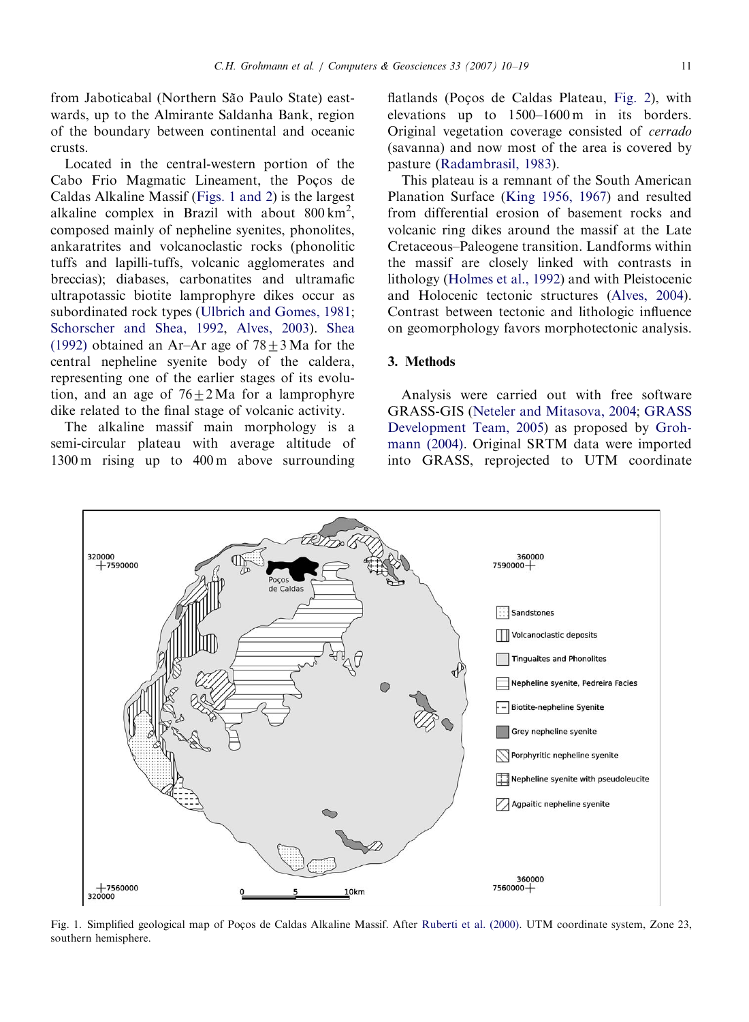from Jaboticabal (Northern São Paulo State) eastwards, up to the Almirante Saldanha Bank, region of the boundary between continental and oceanic crusts.

Located in the central-western portion of the Cabo Frio Magmatic Lineament, the Pocos de Caldas Alkaline Massif (Figs. 1 and 2) is the largest alkaline complex in Brazil with about  $800 \text{ km}^2$ , composed mainly of nepheline syenites, phonolites, ankaratrites and volcanoclastic rocks (phonolitic tuffs and lapilli-tuffs, volcanic agglomerates and breccias); diabases, carbonatites and ultramafic ultrapotassic biotite lamprophyre dikes occur as subordinated rock types ([Ulbrich and Gomes, 1981](#page-9-0); [Schorscher and Shea, 1992,](#page-9-0) [Alves, 2003\)](#page-8-0). [Shea](#page-9-0) [\(1992\)](#page-9-0) obtained an Ar–Ar age of  $78 \pm 3$  Ma for the central nepheline syenite body of the caldera, representing one of the earlier stages of its evolution, and an age of  $76\pm2$  Ma for a lamprophyre dike related to the final stage of volcanic activity.

The alkaline massif main morphology is a semi-circular plateau with average altitude of 1300 m rising up to 400 m above surrounding

flatlands (Poços de Caldas Plateau, [Fig. 2](#page-2-0)), with elevations up to 1500–1600 m in its borders. Original vegetation coverage consisted of cerrado (savanna) and now most of the area is covered by pasture ([Radambrasil, 1983\)](#page-9-0).

This plateau is a remnant of the South American Planation Surface ([King 1956, 1967](#page-8-0)) and resulted from differential erosion of basement rocks and volcanic ring dikes around the massif at the Late Cretaceous–Paleogene transition. Landforms within the massif are closely linked with contrasts in lithology ([Holmes et al., 1992](#page-8-0)) and with Pleistocenic and Holocenic tectonic structures ([Alves, 2004](#page-8-0)). Contrast between tectonic and lithologic influence on geomorphology favors morphotectonic analysis.

## 3. Methods

Analysis were carried out with free software GRASS-GIS ([Neteler and Mitasova, 2004;](#page-9-0) [GRASS](#page-8-0) [Development Team, 2005](#page-8-0)) as proposed by [Groh](#page-8-0)[mann \(2004\).](#page-8-0) Original SRTM data were imported into GRASS, reprojected to UTM coordinate



Fig. 1. Simplified geological map of Poços de Caldas Alkaline Massif. After [Ruberti et al. \(2000\)](#page-9-0). UTM coordinate system, Zone 23, southern hemisphere.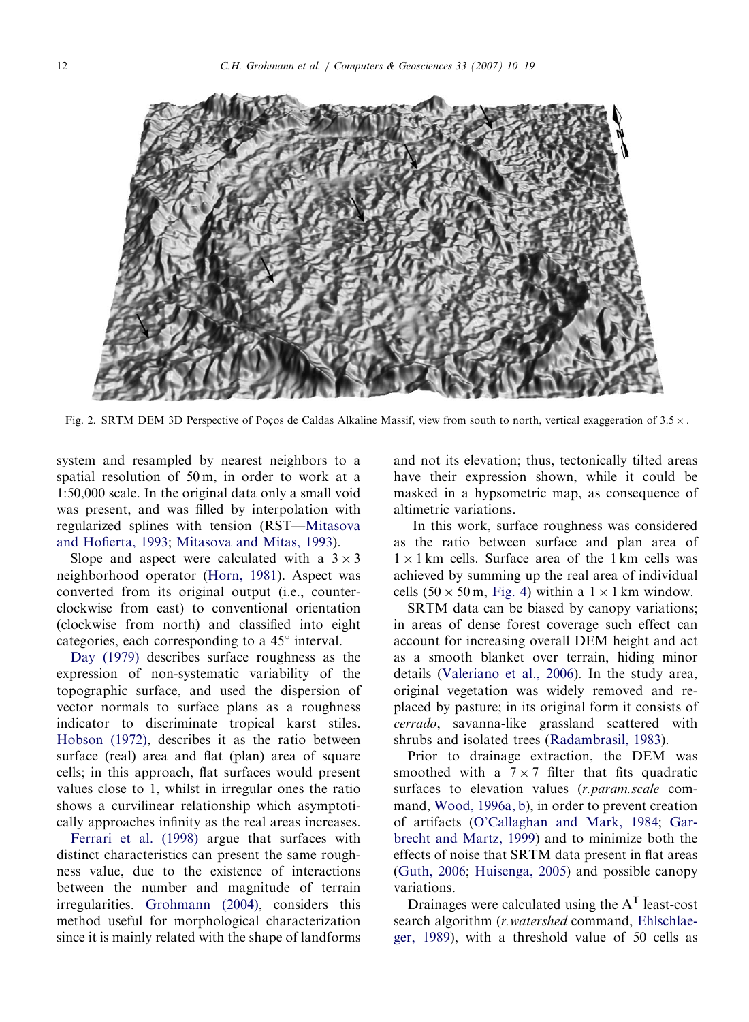<span id="page-2-0"></span>

Fig. 2. SRTM DEM 3D Perspective of Pocos de Caldas Alkaline Massif, view from south to north, vertical exaggeration of  $3.5 \times$ .

system and resampled by nearest neighbors to a spatial resolution of 50 m, in order to work at a 1:50,000 scale. In the original data only a small void was present, and was filled by interpolation with regularized splines with tension (RST—[Mitasova](#page-9-0) [and Hofierta, 1993](#page-9-0); [Mitasova and Mitas, 1993\)](#page-9-0).

Slope and aspect were calculated with a  $3 \times 3$ neighborhood operator [\(Horn, 1981\)](#page-8-0). Aspect was converted from its original output (i.e., counterclockwise from east) to conventional orientation (clockwise from north) and classified into eight categories, each corresponding to a  $45^\circ$  interval.

[Day \(1979\)](#page-8-0) describes surface roughness as the expression of non-systematic variability of the topographic surface, and used the dispersion of vector normals to surface plans as a roughness indicator to discriminate tropical karst stiles. [Hobson \(1972\)](#page-8-0), describes it as the ratio between surface (real) area and flat (plan) area of square cells; in this approach, flat surfaces would present values close to 1, whilst in irregular ones the ratio shows a curvilinear relationship which asymptotically approaches infinity as the real areas increases.

[Ferrari et al. \(1998\)](#page-8-0) argue that surfaces with distinct characteristics can present the same roughness value, due to the existence of interactions between the number and magnitude of terrain irregularities. [Grohmann \(2004\)](#page-8-0), considers this method useful for morphological characterization since it is mainly related with the shape of landforms

and not its elevation; thus, tectonically tilted areas have their expression shown, while it could be masked in a hypsometric map, as consequence of altimetric variations.

In this work, surface roughness was considered as the ratio between surface and plan area of  $1 \times 1$  km cells. Surface area of the 1 km cells was achieved by summing up the real area of individual cells  $(50 \times 50 \text{ m}, \text{Fig. 4})$  $(50 \times 50 \text{ m}, \text{Fig. 4})$  $(50 \times 50 \text{ m}, \text{Fig. 4})$  within a  $1 \times 1 \text{ km}$  window.

SRTM data can be biased by canopy variations; in areas of dense forest coverage such effect can account for increasing overall DEM height and act as a smooth blanket over terrain, hiding minor details [\(Valeriano et al., 2006](#page-9-0)). In the study area, original vegetation was widely removed and replaced by pasture; in its original form it consists of cerrado, savanna-like grassland scattered with shrubs and isolated trees ([Radambrasil, 1983\)](#page-9-0).

Prior to drainage extraction, the DEM was smoothed with a  $7 \times 7$  filter that fits quadratic surfaces to elevation values (r.param.scale command, [Wood, 1996a, b](#page-9-0)), in order to prevent creation of artifacts ([O'Callaghan and Mark, 1984;](#page-9-0) [Gar](#page-8-0)[brecht and Martz, 1999](#page-8-0)) and to minimize both the effects of noise that SRTM data present in flat areas ([Guth, 2006;](#page-8-0) [Huisenga, 2005\)](#page-8-0) and possible canopy variations.

Drainages were calculated using the  $A<sup>T</sup>$  least-cost search algorithm (*r. watershed* command, [Ehlschlae](#page-8-0)[ger, 1989](#page-8-0)), with a threshold value of 50 cells as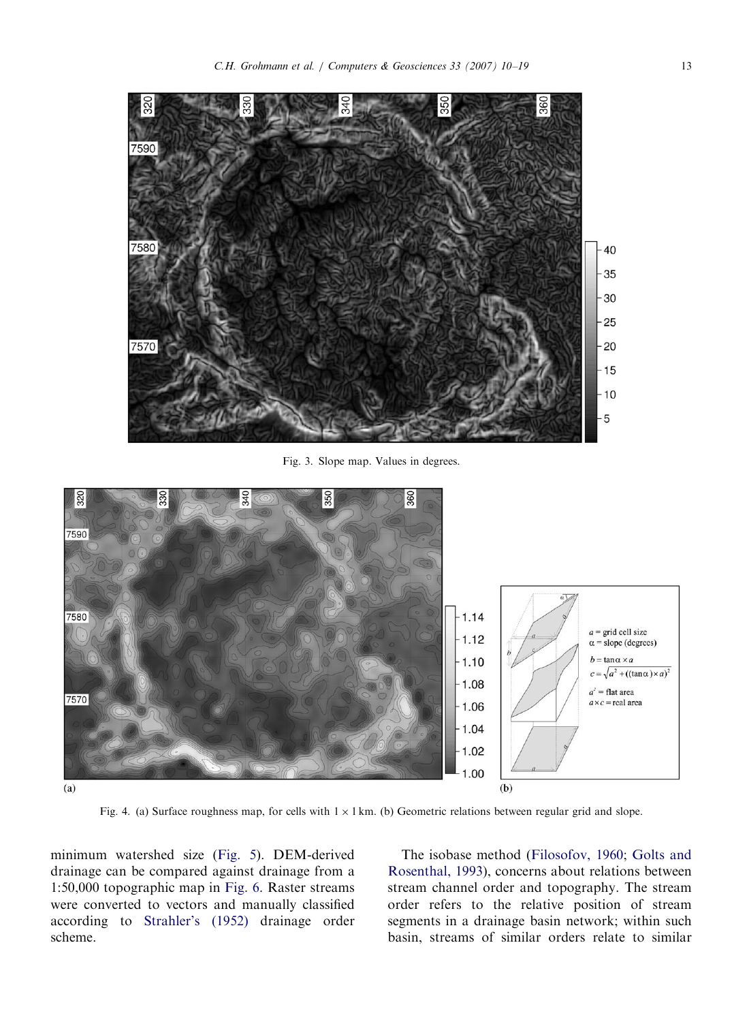<span id="page-3-0"></span>

Fig. 3. Slope map. Values in degrees.



Fig. 4. (a) Surface roughness map, for cells with  $1 \times 1$  km. (b) Geometric relations between regular grid and slope.

minimum watershed size [\(Fig. 5](#page-4-0)). DEM-derived drainage can be compared against drainage from a 1:50,000 topographic map in [Fig. 6.](#page-4-0) Raster streams were converted to vectors and manually classified according to [Strahler's \(1952\)](#page-9-0) drainage order scheme.

The isobase method [\(Filosofov, 1960](#page-8-0); [Golts and](#page-8-0) [Rosenthal, 1993](#page-8-0)), concerns about relations between stream channel order and topography. The stream order refers to the relative position of stream segments in a drainage basin network; within such basin, streams of similar orders relate to similar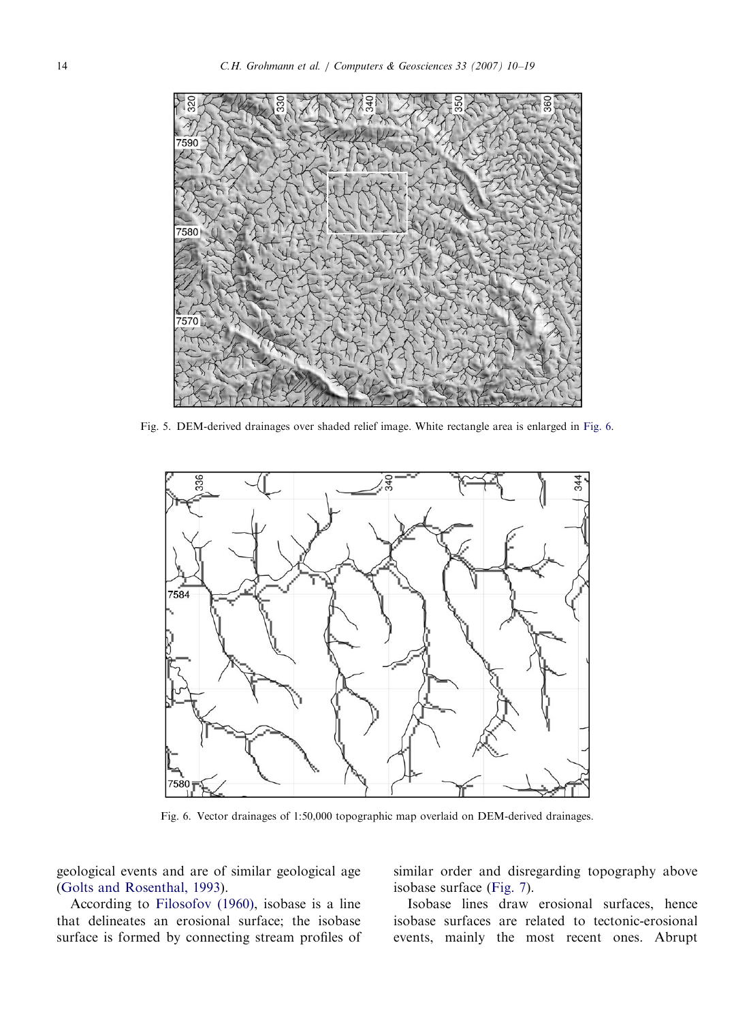<span id="page-4-0"></span>

Fig. 5. DEM-derived drainages over shaded relief image. White rectangle area is enlarged in Fig. 6.



Fig. 6. Vector drainages of 1:50,000 topographic map overlaid on DEM-derived drainages.

geological events and are of similar geological age ([Golts and Rosenthal, 1993](#page-8-0)).

According to [Filosofov \(1960\),](#page-8-0) isobase is a line that delineates an erosional surface; the isobase surface is formed by connecting stream profiles of similar order and disregarding topography above isobase surface [\(Fig. 7\)](#page-5-0).

Isobase lines draw erosional surfaces, hence isobase surfaces are related to tectonic-erosional events, mainly the most recent ones. Abrupt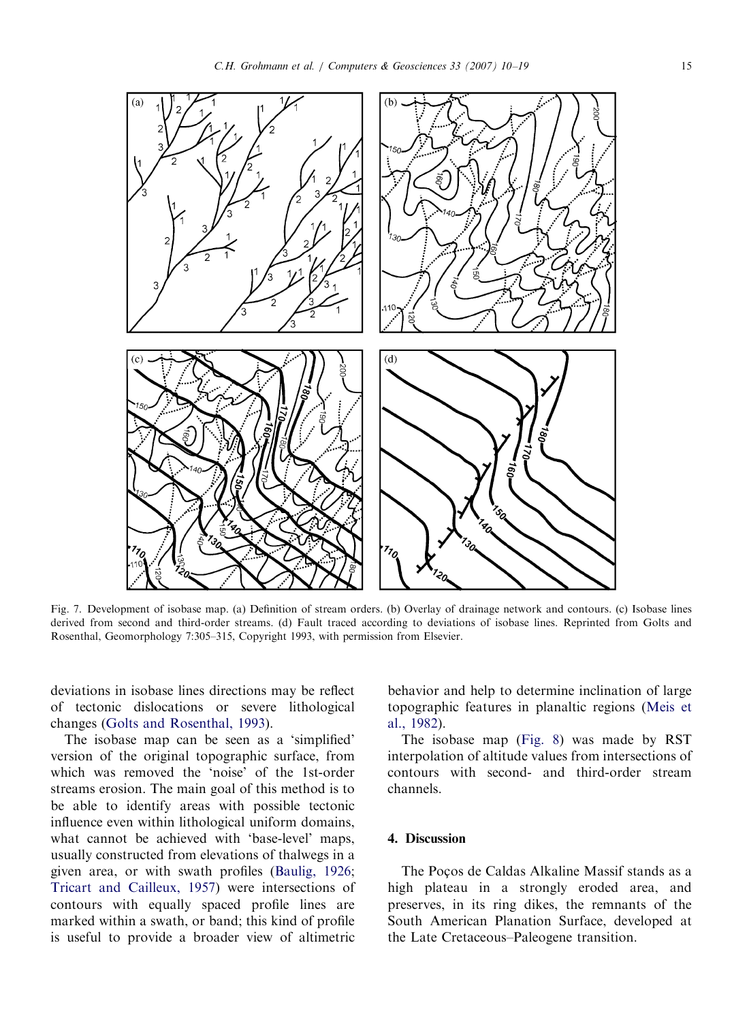<span id="page-5-0"></span>

Fig. 7. Development of isobase map. (a) Definition of stream orders. (b) Overlay of drainage network and contours. (c) Isobase lines derived from second and third-order streams. (d) Fault traced according to deviations of isobase lines. Reprinted from Golts and Rosenthal, Geomorphology 7:305–315, Copyright 1993, with permission from Elsevier.

deviations in isobase lines directions may be reflect of tectonic dislocations or severe lithological changes [\(Golts and Rosenthal, 1993\)](#page-8-0).

The isobase map can be seen as a 'simplified' version of the original topographic surface, from which was removed the 'noise' of the 1st-order streams erosion. The main goal of this method is to be able to identify areas with possible tectonic influence even within lithological uniform domains, what cannot be achieved with 'base-level' maps, usually constructed from elevations of thalwegs in a given area, or with swath profiles ([Baulig, 1926](#page-8-0); [Tricart and Cailleux, 1957\)](#page-9-0) were intersections of contours with equally spaced profile lines are marked within a swath, or band; this kind of profile is useful to provide a broader view of altimetric behavior and help to determine inclination of large topographic features in planaltic regions ([Meis et](#page-8-0) [al., 1982](#page-8-0)).

The isobase map ([Fig. 8\)](#page-6-0) was made by RST interpolation of altitude values from intersections of contours with second- and third-order stream channels.

## 4. Discussion

The Pocos de Caldas Alkaline Massif stands as a high plateau in a strongly eroded area, and preserves, in its ring dikes, the remnants of the South American Planation Surface, developed at the Late Cretaceous–Paleogene transition.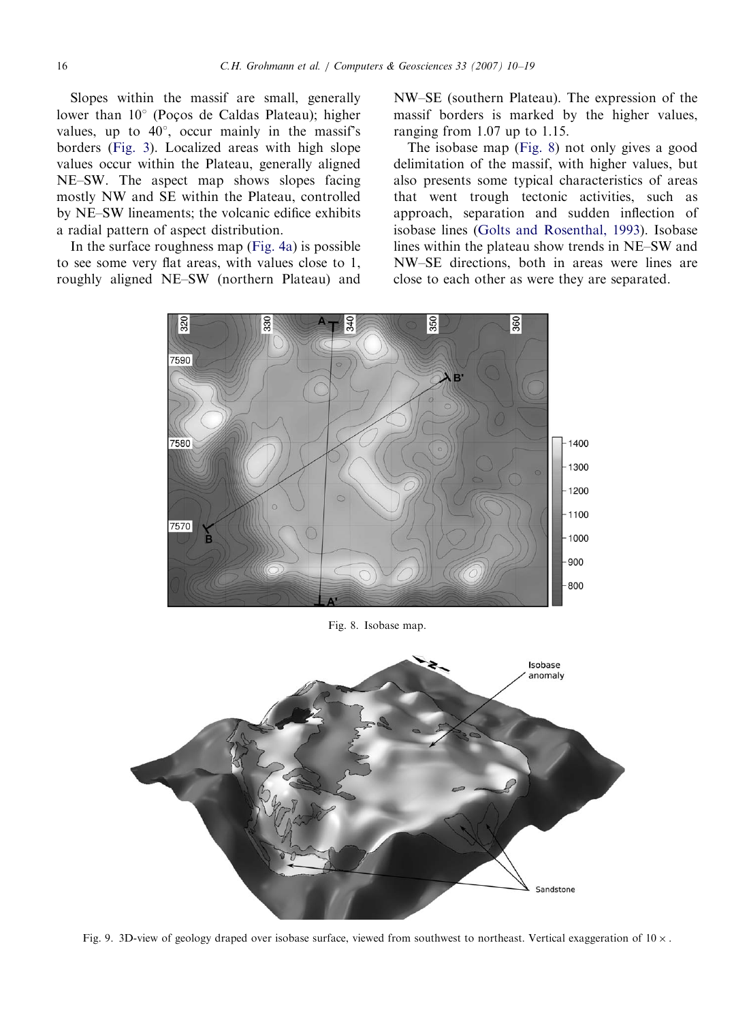<span id="page-6-0"></span>Slopes within the massif are small, generally lower than  $10^{\circ}$  (Pocos de Caldas Plateau); higher values, up to  $40^{\circ}$ , occur mainly in the massif's borders ([Fig. 3\)](#page-3-0). Localized areas with high slope values occur within the Plateau, generally aligned NE–SW. The aspect map shows slopes facing mostly NW and SE within the Plateau, controlled by NE–SW lineaments; the volcanic edifice exhibits a radial pattern of aspect distribution.

In the surface roughness map ([Fig. 4a\)](#page-3-0) is possible to see some very flat areas, with values close to 1, roughly aligned NE–SW (northern Plateau) and

NW–SE (southern Plateau). The expression of the massif borders is marked by the higher values, ranging from 1.07 up to 1.15.

The isobase map (Fig. 8) not only gives a good delimitation of the massif, with higher values, but also presents some typical characteristics of areas that went trough tectonic activities, such as approach, separation and sudden inflection of isobase lines ([Golts and Rosenthal, 1993](#page-8-0)). Isobase lines within the plateau show trends in NE–SW and NW–SE directions, both in areas were lines are close to each other as were they are separated.



Fig. 8. Isobase map.



Fig. 9. 3D-view of geology draped over isobase surface, viewed from southwest to northeast. Vertical exaggeration of  $10 \times$ .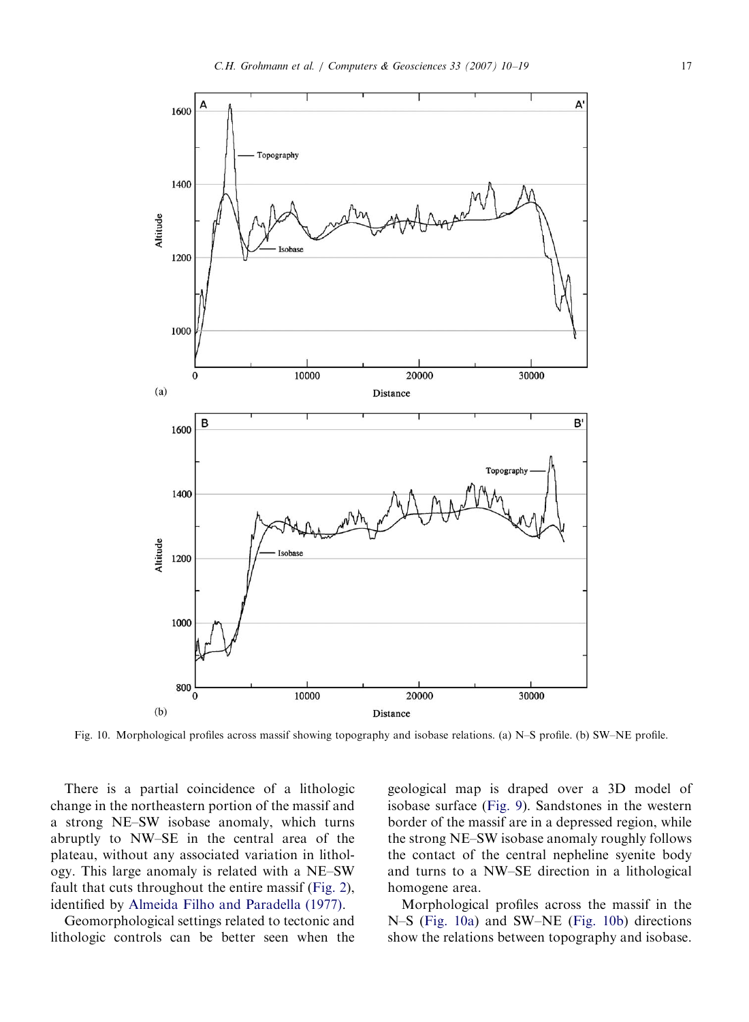

Fig. 10. Morphological profiles across massif showing topography and isobase relations. (a) N–S profile. (b) SW–NE profile.

There is a partial coincidence of a lithologic change in the northeastern portion of the massif and a strong NE–SW isobase anomaly, which turns abruptly to NW–SE in the central area of the plateau, without any associated variation in lithology. This large anomaly is related with a NE–SW fault that cuts throughout the entire massif [\(Fig. 2\)](#page-2-0), identified by [Almeida Filho and Paradella \(1977\).](#page-8-0)

Geomorphological settings related to tectonic and lithologic controls can be better seen when the

geological map is draped over a 3D model of isobase surface ([Fig. 9\)](#page-6-0). Sandstones in the western border of the massif are in a depressed region, while the strong NE–SW isobase anomaly roughly follows the contact of the central nepheline syenite body and turns to a NW–SE direction in a lithological homogene area.

Morphological profiles across the massif in the N–S (Fig. 10a) and SW–NE (Fig. 10b) directions show the relations between topography and isobase.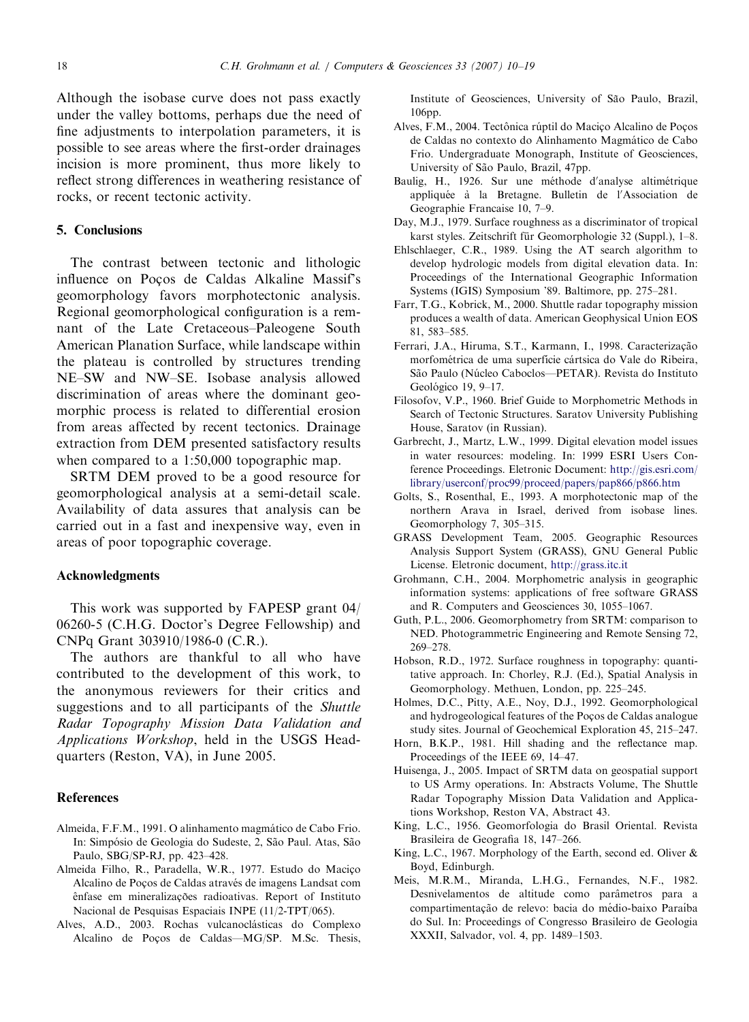<span id="page-8-0"></span>Although the isobase curve does not pass exactly under the valley bottoms, perhaps due the need of fine adjustments to interpolation parameters, it is possible to see areas where the first-order drainages incision is more prominent, thus more likely to reflect strong differences in weathering resistance of rocks, or recent tectonic activity.

#### 5. Conclusions

The contrast between tectonic and lithologic influence on Pocos de Caldas Alkaline Massif's geomorphology favors morphotectonic analysis. Regional geomorphological configuration is a remnant of the Late Cretaceous–Paleogene South American Planation Surface, while landscape within the plateau is controlled by structures trending NE–SW and NW–SE. Isobase analysis allowed discrimination of areas where the dominant geomorphic process is related to differential erosion from areas affected by recent tectonics. Drainage extraction from DEM presented satisfactory results when compared to a 1:50,000 topographic map.

SRTM DEM proved to be a good resource for geomorphological analysis at a semi-detail scale. Availability of data assures that analysis can be carried out in a fast and inexpensive way, even in areas of poor topographic coverage.

#### Acknowledgments

This work was supported by FAPESP grant 04/ 06260-5 (C.H.G. Doctor's Degree Fellowship) and CNPq Grant 303910/1986-0 (C.R.).

The authors are thankful to all who have contributed to the development of this work, to the anonymous reviewers for their critics and suggestions and to all participants of the Shuttle Radar Topography Mission Data Validation and Applications Workshop, held in the USGS Headquarters (Reston, VA), in June 2005.

## **References**

- Almeida, F.F.M., 1991. O alinhamento magmático de Cabo Frio. In: Simpósio de Geologia do Sudeste, 2, São Paul. Atas, São Paulo, SBG/SP-RJ, pp. 423–428.
- Almeida Filho, R., Paradella, W.R., 1977. Estudo do Maciço Alcalino de Poços de Caldas através de imagens Landsat com ênfase em mineralizações radioativas. Report of Instituto Nacional de Pesquisas Espaciais INPE (11/2-TPT/065).
- Alves, A.D., 2003. Rochas vulcanoclásticas do Complexo Alcalino de Poços de Caldas—MG/SP. M.Sc. Thesis,

Institute of Geosciences, University of São Paulo, Brazil, 106<sub>pp</sub>.

- Alves, F.M., 2004. Tectônica rúptil do Macico Alcalino de Pocos de Caldas no contexto do Alinhamento Magmático de Cabo Frio. Undergraduate Monograph, Institute of Geosciences, University of São Paulo, Brazil, 47pp.
- Baulig, H., 1926. Sur une méthode d'analyse altimétrique appliquée à la Bretagne. Bulletin de l'Association de Geographie Francaise 10, 7–9.
- Day, M.J., 1979. Surface roughness as a discriminator of tropical karst styles. Zeitschrift für Geomorphologie 32 (Suppl.), 1-8.
- Ehlschlaeger, C.R., 1989. Using the AT search algorithm to develop hydrologic models from digital elevation data. In: Proceedings of the International Geographic Information Systems (IGIS) Symposium '89. Baltimore, pp. 275–281.
- Farr, T.G., Kobrick, M., 2000. Shuttle radar topography mission produces a wealth of data. American Geophysical Union EOS 81, 583–585.
- Ferrari, J.A., Hiruma, S.T., Karmann, I., 1998. Caracterização morfométrica de uma superfície cártsica do Vale do Ribeira, São Paulo (Núcleo Caboclos—PETAR). Revista do Instituto Geológico 19, 9–17.
- Filosofov, V.P., 1960. Brief Guide to Morphometric Methods in Search of Tectonic Structures. Saratov University Publishing House, Saratov (in Russian).
- Garbrecht, J., Martz, L.W., 1999. Digital elevation model issues in water resources: modeling. In: 1999 ESRI Users Conference Proceedings. Eletronic Document: [http://gis.esri.com/](http://gis.esri.com/library/userconf/proc99/proceed/papers/pap866/p866.htm) [library/userconf/proc99/proceed/papers/pap866/p866.htm](http://gis.esri.com/library/userconf/proc99/proceed/papers/pap866/p866.htm)
- Golts, S., Rosenthal, E., 1993. A morphotectonic map of the northern Arava in Israel, derived from isobase lines. Geomorphology 7, 305–315.
- GRASS Development Team, 2005. Geographic Resources Analysis Support System (GRASS), GNU General Public License. Eletronic document, <http://grass.itc.it>
- Grohmann, C.H., 2004. Morphometric analysis in geographic information systems: applications of free software GRASS and R. Computers and Geosciences 30, 1055–1067.
- Guth, P.L., 2006. Geomorphometry from SRTM: comparison to NED. Photogrammetric Engineering and Remote Sensing 72, 269–278.
- Hobson, R.D., 1972. Surface roughness in topography: quantitative approach. In: Chorley, R.J. (Ed.), Spatial Analysis in Geomorphology. Methuen, London, pp. 225–245.
- Holmes, D.C., Pitty, A.E., Noy, D.J., 1992. Geomorphological and hydrogeological features of the Poços de Caldas analogue study sites. Journal of Geochemical Exploration 45, 215–247.
- Horn, B.K.P., 1981. Hill shading and the reflectance map. Proceedings of the IEEE 69, 14–47.
- Huisenga, J., 2005. Impact of SRTM data on geospatial support to US Army operations. In: Abstracts Volume, The Shuttle Radar Topography Mission Data Validation and Applications Workshop, Reston VA, Abstract 43.
- King, L.C., 1956. Geomorfologia do Brasil Oriental. Revista Brasileira de Geografia 18, 147–266.
- King, L.C., 1967. Morphology of the Earth, second ed. Oliver & Boyd, Edinburgh.
- Meis, M.R.M., Miranda, L.H.G., Fernandes, N.F., 1982. Desnivelamentos de altitude como parâmetros para a compartimentação de relevo: bacia do médio-baixo Paraíba do Sul. In: Proceedings of Congresso Brasileiro de Geologia XXXII, Salvador, vol. 4, pp. 1489–1503.